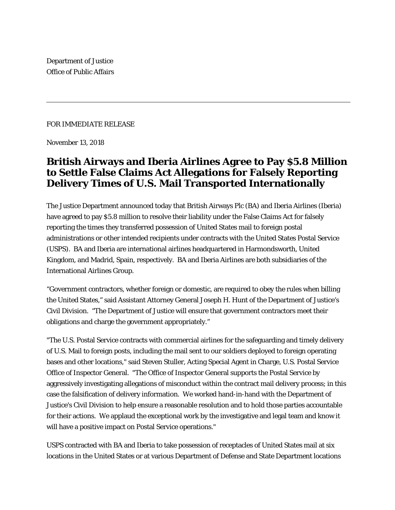Department of Justice Office of Public Affairs

## FOR IMMEDIATE RELEASE

November 13, 2018

## **British Airways and Iberia Airlines Agree to Pay \$5.8 Million to Settle False Claims Act Allegations for Falsely Reporting Delivery Times of U.S. Mail Transported Internationally**

The Justice Department announced today that British Airways Plc (BA) and Iberia Airlines (Iberia) have agreed to pay \$5.8 million to resolve their liability under the False Claims Act for falsely reporting the times they transferred possession of United States mail to foreign postal administrations or other intended recipients under contracts with the United States Postal Service (USPS). BA and Iberia are international airlines headquartered in Harmondsworth, United Kingdom, and Madrid, Spain, respectively. BA and Iberia Airlines are both subsidiaries of the International Airlines Group.

"Government contractors, whether foreign or domestic, are required to obey the rules when billing the United States," said Assistant Attorney General Joseph H. Hunt of the Department of Justice's Civil Division. "The Department of Justice will ensure that government contractors meet their obligations and charge the government appropriately."

"The U.S. Postal Service contracts with commercial airlines for the safeguarding and timely delivery of U.S. Mail to foreign posts, including the mail sent to our soldiers deployed to foreign operating bases and other locations," said Steven Stuller, Acting Special Agent in Charge, U.S. Postal Service Office of Inspector General. "The Office of Inspector General supports the Postal Service by aggressively investigating allegations of misconduct within the contract mail delivery process; in this case the falsification of delivery information. We worked hand-in-hand with the Department of Justice's Civil Division to help ensure a reasonable resolution and to hold those parties accountable for their actions. We applaud the exceptional work by the investigative and legal team and know it will have a positive impact on Postal Service operations."

USPS contracted with BA and Iberia to take possession of receptacles of United States mail at six locations in the United States or at various Department of Defense and State Department locations